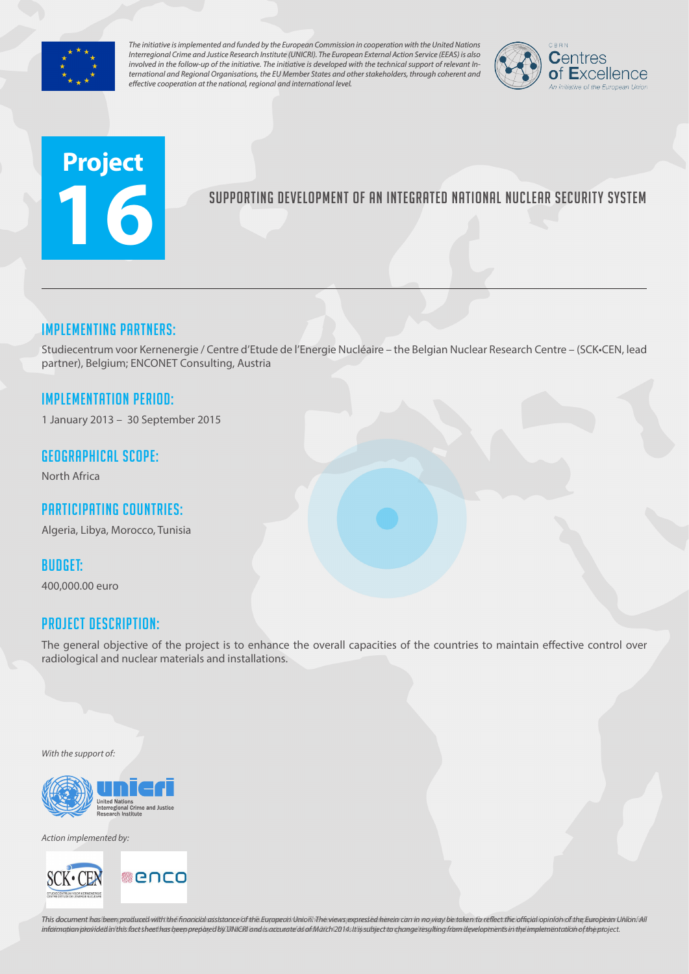

*The initiative is implemented and funded by the European Commission in cooperation with the United Nations Interregional Crime and Justice Research Institute (UNICRI). The European External Action Service (EEAS) is also involved in the follow-up of the initiative. The initiative is developed with the technical support of relevant International and Regional Organisations, the EU Member States and other stakeholders, through coherent and effective cooperation at the national, regional and international level.*



# **Project 16**

# Supporting development of an integrated national nuclear security system

## Implementing partners:

Studiecentrum voor Kernenergie / Centre d'Etude de l'Energie Nucléaire – the Belgian Nuclear Research Centre – (SCK•CEN, lead partner), Belgium; ENCONET Consulting, Austria

## Implementation Period:

1 January 2013 – 30 September 2015

### Geographical scope:

North Africa

# Participating countries:

Algeria, Libya, Morocco, Tunisia

#### Budget:

400,000.00 euro

## Project Description:

The general objective of the project is to enhance the overall capacities of the countries to maintain effective control over radiological and nuclear materials and installations.

*With the support of:*



*Action implemented by:*



This document has been produced with the financial assistance of the European Union. The views expressed herein can in no way be taken to reflect the official opinion of the European Union/All information provided in this fact sheet has been prepared by UNICRI and is accurate as of March 2014s It lissubject to change resulting from developments in the implementation of the project.